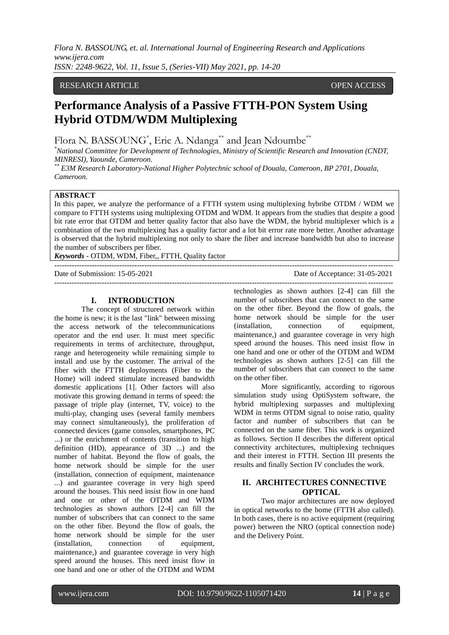### RESEARCH ARTICLE **OPEN ACCESS**

# **Performance Analysis of a Passive FTTH-PON System Using Hybrid OTDM/WDM Multiplexing**

Flora N. BASSOUNG<sup>\*</sup>, Eric A. Ndanga<sup>\*\*</sup> and Jean Ndoumbe<sup>\*\*</sup>

*\*National Committee for Development of Technologies, Ministry of Scientific Research and Innovation (CNDT, MINRESI), Yaounde, Cameroon.*

*\*\* E3M Research Laboratory-National Higher Polytechnic school of Douala, Cameroon, BP 2701, Douala, Cameroon.* 

## **ABSTRACT**

In this paper, we analyze the performance of a FTTH system using multiplexing hybribe OTDM / WDM we compare to FTTH systems using multiplexing OTDM and WDM. It appears from the studies that despite a good bit rate error that OTDM and better quality factor that also have the WDM, the hybrid multiplexer which is a combination of the two multiplexing has a quality factor and a lot bit error rate more better. Another advantage is observed that the hybrid multiplexing not only to share the fiber and increase bandwidth but also to increase the number of subscribers per fiber.

*Keywords* - OTDM, WDM, Fiber,, FTTH, Quality factor

# **I. INTRODUCTION**

The concept of structured network within the home is new; it is the last "link" between missing the access network of the telecommunications operator and the end user. It must meet specific requirements in terms of architecture, throughput, range and heterogeneity while remaining simple to install and use by the customer. The arrival of the fiber with the FTTH deployments (Fiber to the Home) will indeed stimulate increased bandwidth domestic applications [1]. Other factors will also motivate this growing demand in terms of speed: the passage of triple play (internet, TV, voice) to the multi-play, changing uses (several family members may connect simultaneously), the proliferation of connected devices (game consoles, smartphones, PC ...) or the enrichment of contents (transition to high definition (HD), appearance of 3D ...) and the number of habitat. Beyond the flow of goals, the home network should be simple for the user (installation, connection of equipment, maintenance ...) and guarantee coverage in very high speed around the houses. This need insist flow in one hand and one or other of the OTDM and WDM technologies as shown authors [2-4] can fill the number of subscribers that can connect to the same on the other fiber. Beyond the flow of goals, the home network should be simple for the user (installation, connection of equipment, maintenance,) and guarantee coverage in very high speed around the houses. This need insist flow in one hand and one or other of the OTDM and WDM

Date of Submission: 15-05-2021 Date of Acceptance: 31-05-2021 ---------------------------------------------------------------------------------------------------------------------------------------

> technologies as shown authors [2-4] can fill the number of subscribers that can connect to the same on the other fiber. Beyond the flow of goals, the home network should be simple for the user (installation, connection of equipment, maintenance,) and guarantee coverage in very high speed around the houses. This need insist flow in one hand and one or other of the OTDM and WDM technologies as shown authors [2-5] can fill the number of subscribers that can connect to the same on the other fiber.

---------------------------------------------------------------------------------------------------------------------------------------

More significantly, according to rigorous simulation study using OptiSystem software, the hybrid multiplexing surpasses and multiplexing WDM in terms OTDM signal to noise ratio, quality factor and number of subscribers that can be connected on the same fiber. This work is organized as follows. Section II describes the different optical connectivity architectures, multiplexing techniques and their interest in FTTH. Section III presents the results and finally Section IV concludes the work.

## **II. ARCHITECTURES CONNECTIVE OPTICAL**

Two major architectures are now deployed in optical networks to the home (FTTH also called). In both cases, there is no active equipment (requiring power) between the NRO (optical connection node) and the Delivery Point.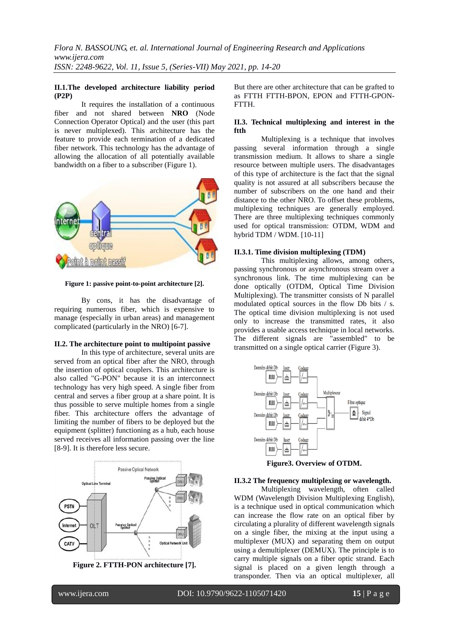## **II.1.The developed architecture liability period (P2P)**

It requires the installation of a continuous fiber and not shared between **[NRO](https://fr.wikipedia.org/wiki/N�ud_de_raccordement_optique)** (Node Connection Operator Optical) and the user (this part is never [multiplexed\)](https://fr.wikipedia.org/wiki/Multiplexage). This architecture has the feature to provide each termination of a dedicated fiber network. This technology has the advantage of allowing the allocation of all potentially available bandwidth on a fiber to a subscriber (Figure 1).



**Figure 1: passive point-to-point architecture [2].**

By cons, it has the disadvantage of requiring numerous fiber, which is expensive to manage (especially in urban areas) and management complicated (particularly in the [NRO\)](https://fr.wikipedia.org/wiki/N�ud_de_raccordement_optique) [6-7].

## **II.2. The architecture point to multipoint passive**

In this type of architecture, several units are served from an optical fiber after the NRO, through the insertion of optical couplers. This architecture is also called "G-PON" because it is an interconnect technology has very high speed. A single fiber from central and serves a fiber group at a share point. It is thus possible to serve multiple homes from a single fiber. This architecture offers the advantage of limiting the number of fibers to be deployed but the equipment (splitter) functioning as a hub, each house served receives all information passing over the line [8-9]. It is therefore less secure.





But there are other architecture that can be grafted to as FTTH FTTH-BPON, EPON and FTTH-GPON-FTTH.

### **II.3. Technical multiplexing and interest in the ftth**

Multiplexing is a technique that involves passing several information through a single transmission medium. It allows to share a single resource between multiple users. The disadvantages of this type of architecture is the fact that the signal quality is not assured at all subscribers because the number of subscribers on the one hand and their distance to the other NRO. To offset these problems, multiplexing techniques are generally employed. There are three multiplexing techniques commonly used for optical transmission: OTDM, WDM and hybrid TDM / WDM. [10-11]

## **II.3.1. Time division multiplexing (TDM)**

This multiplexing allows, among others, passing synchronous or asynchronous stream over a synchronous link. The time multiplexing can be done optically (OTDM, Optical Time Division Multiplexing). The transmitter consists of N parallel modulated optical sources in the flow Db bits / s. The optical time division multiplexing is not used only to increase the transmitted rates, it also provides a usable access technique in local networks. The different signals are "assembled" to be transmitted on a single optical carrier (Figure 3).



**Figure3. Overview of OTDM.**

## **II.3.2 The frequency multiplexing or wavelength.**

Multiplexing wavelength, often called WDM (Wavelength Division Multiplexing English), is a technique used in optical communication which can increase the flow rate on an optical fiber by circulating a plurality of different wavelength signals on a single fiber, the mixing at the input using a multiplexer (MUX) and separating them on output using a demultiplexer (DEMUX). The principle is to carry multiple signals on a fiber optic strand. Each signal is placed on a given length through a transponder. Then via an optical multiplexer, all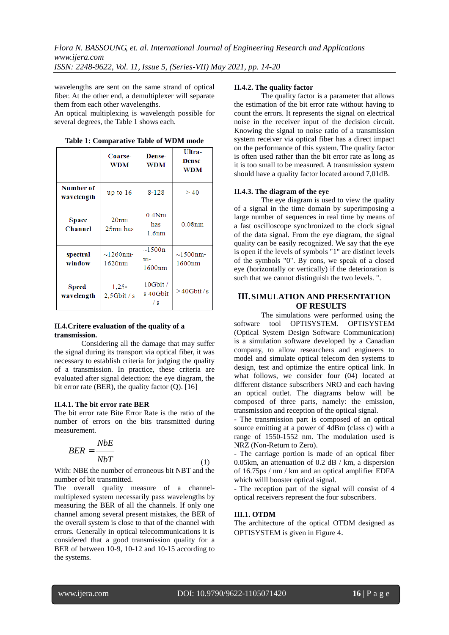wavelengths are sent on the same strand of optical fiber. At the other end, a demultiplexer will separate them from each other wavelengths.

An optical multiplexing is wavelength possible for several degrees, the Table 1 shows each.

|                                | Coarse-<br><b>WDM</b>      | Dense-<br><b>WDM</b>                 | Ultra-<br><b>Dense-</b><br>WDM |  |
|--------------------------------|----------------------------|--------------------------------------|--------------------------------|--|
| Number of<br>wavelength        | up to $16$                 |                                      | >40                            |  |
| <b>Space</b><br><b>Channel</b> | 20nm<br>25nm has           | $0.4N$ m<br>has<br>1.6 <sub>nm</sub> | 0.08nm                         |  |
| spectral<br>window             | $\sim$ 1260nm-<br>1620nm   | $\sim$ 1500n<br>$m-$<br>1600nm       | $\sim$ 1500nm-<br>1600nm       |  |
| Speed<br>wavelength            | $1.25 -$<br>$2.5$ Gbit / s | 10Gbit/<br>s 40Gbit<br>$\sqrt{s}$    | $>40$ Gbit/s                   |  |

**Table 1: Comparative Table of WDM mode**

#### **II.4.Critere evaluation of the quality of a transmission.**

Considering all the damage that may suffer the signal during its transport via optical fiber, it was necessary to establish criteria for judging the quality of a transmission. In practice, these criteria are evaluated after signal detection: the eye diagram, the bit error rate (BER), the quality factor (Q). [16]

#### **II.4.1. The bit error rate BER**

The bit error rate Bite Error Rate is the ratio of the number of errors on the bits transmitted during measurement.

$$
BER = \frac{NbE}{NbT} \tag{1}
$$

With: NBE the number of erroneous bit NBT and the number of bit transmitted.

The overall quality measure of a channelmultiplexed system necessarily pass wavelengths by measuring the BER of all the channels. If only one channel among several present mistakes, the BER of the overall system is close to that of the channel with errors. Generally in optical telecommunications it is considered that a good transmission quality for a BER of between 10-9, 10-12 and 10-15 according to the systems.

#### **II.4.2. The quality factor**

The quality factor is a parameter that allows the estimation of the bit error rate without having to count the errors. It represents the signal on electrical noise in the receiver input of the decision circuit. Knowing the signal to noise ratio of a transmission system receiver via optical fiber has a direct impact on the performance of this system. The quality factor is often used rather than the bit error rate as long as it is too small to be measured. A transmission system should have a quality factor located around 7,01dB.

#### **II.4.3. The diagram of the eye**

The eye diagram is used to view the quality of a signal in the time domain by superimposing a large number of sequences in real time by means of a fast oscilloscope synchronized to the clock signal of the data signal. From the eye diagram, the signal quality can be easily recognized. We say that the eye is open if the levels of symbols "1" are distinct levels of the symbols "0". By cons, we speak of a closed eye (horizontally or vertically) if the deterioration is such that we cannot distinguish the two levels. ".

## **III.SIMULATION AND PRESENTATION OF RESULTS**

The simulations were performed using the software tool OPTISYSTEM. OPTISYSTEM (Optical System Design Software Communication) is a simulation software developed by a Canadian company, to allow researchers and engineers to model and simulate optical telecom den systems to design, test and optimize the entire optical link. In what follows, we consider four  $(04)$  located at different distance subscribers NRO and each having an optical outlet. The diagrams below will be composed of three parts, namely: the emission, transmission and reception of the optical signal.

- The transmission part is composed of an optical source emitting at a power of 4dBm (class c) with a range of 1550-1552 nm. The modulation used is NRZ (Non-Return to Zero).

- The carriage portion is made of an optical fiber 0.05km, an attenuation of 0.2 dB / km, a dispersion of 16.75ps / nm / km and an optical amplifier EDFA which willl booster optical signal.

- The reception part of the signal will consist of 4 optical receivers represent the four subscribers.

#### **III.1. OTDM**

The architecture of the optical OTDM designed as OPTISYSTEM is given in Figure 4.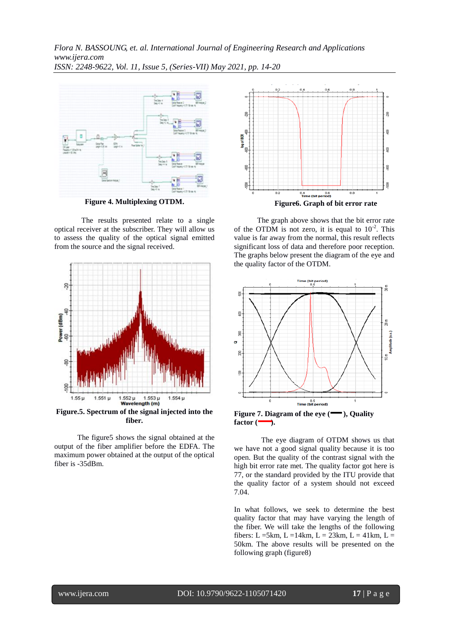

**Figure 4. Multiplexing OTDM.**

The results presented relate to a single optical receiver at the subscriber. They will allow us to assess the quality of the optical signal emitted from the source and the signal received.



**fiber***.*

The figure5 shows the signal obtained at the output of the fiber amplifier before the EDFA. The maximum power obtained at the output of the optical fiber is -35dBm.



The graph above shows that the bit error rate of the OTDM is not zero, it is equal to  $10^{-2}$ . This value is far away from the normal, this result reflects significant loss of data and therefore poor reception. The graphs below present the diagram of the eye and the quality factor of the OTDM.



Figure 7. Diagram of the eye ( $\rightarrow$ ), Quality  $factor$   $(\rightarrow)$ .

The eye diagram of OTDM shows us that we have not a good signal quality because it is too open. But the quality of the contrast signal with the high bit error rate met. The quality factor got here is 77, or the standard provided by the ITU provide that the quality factor of a system should not exceed 7.04.

In what follows, we seek to determine the best quality factor that may have varying the length of the fiber. We will take the lengths of the following fibers: L =5km, L = 14km, L = 23km, L = 41km, L = 50km. The above results will be presented on the following graph (figure8)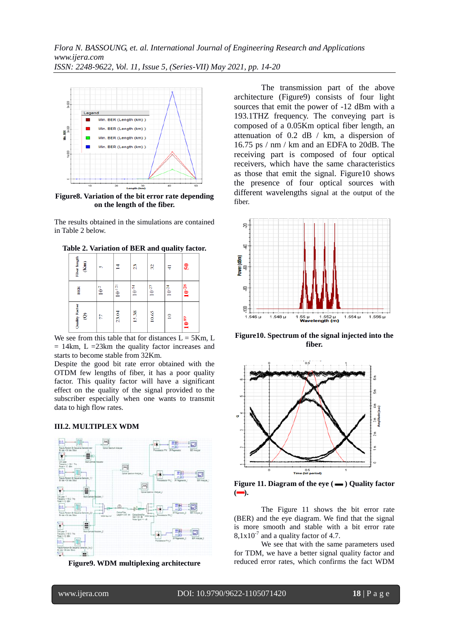

**Figure8. Variation of the bit error rate depending on the length of the fiber.**

The results obtained in the simulations are contained in Table 2 below.

| Fiber length<br>$\widehat{\mathbf{g}}$   | S         | ⊻                  | $\overline{23}$ | 8                 | ₹               | 50         |
|------------------------------------------|-----------|--------------------|-----------------|-------------------|-----------------|------------|
| BER                                      | $10^{-2}$ | $10^{\mbox{-}121}$ | $10^{-54}$      | $10^{\mbox{-}27}$ | $10^{-24}$      | $10^{-28}$ |
| Quality Factor<br>$\widehat{\mathbf{e}}$ | 77        | 23.04              | 15.38           | 10.65             | $\overline{10}$ | $10^{89}$  |

**Table 2. Variation of BER and quality factor.**

We see from this table that for distances  $L = 5Km$ , L  $= 14 \text{km}$ , L  $= 23 \text{km}$  the quality factor increases and starts to become stable from 32Km.

Despite the good bit rate error obtained with the OTDM few lengths of fiber, it has a poor quality factor. This quality factor will have a significant effect on the quality of the signal provided to the subscriber especially when one wants to transmit data to high flow rates.

## **III.2. MULTIPLEX WDM**



**Figure9. WDM multiplexing architecture**

The transmission part of the above architecture (Figure9) consists of four light sources that emit the power of -12 dBm with a 193.1THZ frequency. The conveying part is composed of a 0.05Km optical fiber length, an attenuation of 0.2 dB / km, a dispersion of 16.75 ps / nm / km and an EDFA to 20dB. The receiving part is composed of four optical receivers, which have the same characteristics as those that emit the signal. Figure10 shows the presence of four optical sources with different wavelengths signal at the output of the fiber.



**Figure10. Spectrum of the signal injected into the fiber.**

![](_page_4_Figure_14.jpeg)

Figure 11. Diagram of the eye ( $\longrightarrow$ ) Quality factor  $\left($ 

The Figure 11 shows the bit error rate (BER) and the eye diagram. We find that the signal is more smooth and stable with a bit error rate  $8,1x10^{-7}$  and a quality factor of 4.7.

We see that with the same parameters used for TDM, we have a better signal quality factor and reduced error rates, which confirms the fact WDM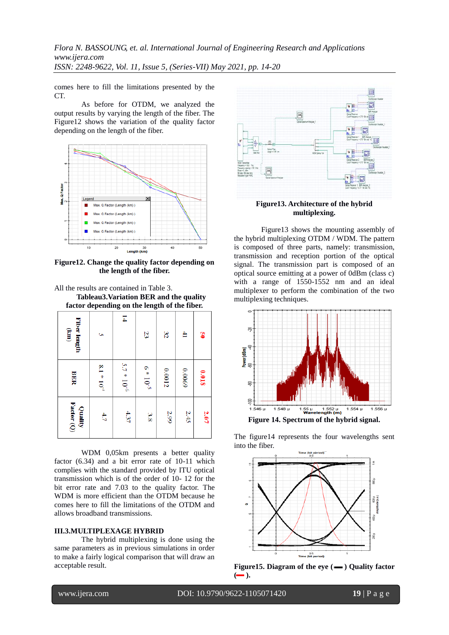comes here to fill the limitations presented by the CT.

As before for OTDM, we analyzed the output results by varying the length of the fiber. The Figure12 shows the variation of the quality factor depending on the length of the fiber.

![](_page_5_Figure_3.jpeg)

**Figure12. Change the quality factor depending on the length of the fiber.**

All the results are contained in Table 3. **Tableau3.Variation BER and the quality factor depending on the length of the fiber.**

| ractor depending on the rength of the flock.  |                 |                 |               |        |              |       |  |
|-----------------------------------------------|-----------------|-----------------|---------------|--------|--------------|-------|--|
| Fiber length<br>$\begin{matrix} \end{matrix}$ | ç               | $\overline{1}$  | 23            | 32     | $\mathbf{4}$ | g     |  |
| <b>BER</b>                                    | $8.1 * 10^{-7}$ | $5.7 * 10^{-6}$ | $6 * 10^{-5}$ | 0.0012 | 6900'0       | 810'0 |  |
| Factor (Q)<br>Quality                         | 4.7             | 4.37            | 3.8           | 2.99   | 2.45         | 2.07  |  |

WDM 0,05km presents a better quality factor (6.34) and a bit error rate of 10-11 which complies with the standard provided by ITU optical transmission which is of the order of 10- 12 for the bit error rate and 7.03 to the quality factor. The WDM is more efficient than the OTDM because he comes here to fill the limitations of the OTDM and allows broadband transmissions.

#### **III.3.MULTIPLEXAGE HYBRID**

The hybrid multiplexing is done using the same parameters as in previous simulations in order to make a fairly logical comparison that will draw an acceptable result.

![](_page_5_Figure_10.jpeg)

**Figure13. Architecture of the hybrid multiplexing.**

Figure13 shows the mounting assembly of the hybrid multiplexing OTDM / WDM. The pattern is composed of three parts, namely: transmission, transmission and reception portion of the optical signal. The transmission part is composed of an optical source emitting at a power of 0dBm (class c) with a range of 1550-1552 nm and an ideal multiplexer to perform the combination of the two multiplexing techniques.

![](_page_5_Figure_13.jpeg)

The figure14 represents the four wavelengths sent into the fiber.

![](_page_5_Figure_15.jpeg)

![](_page_5_Figure_16.jpeg)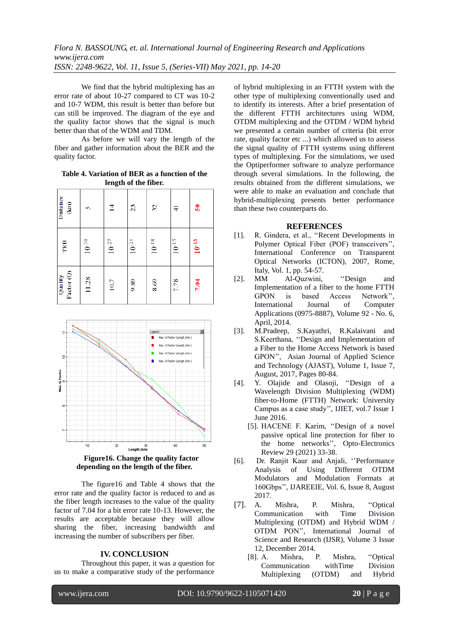We find that the hybrid multiplexing has an error rate of about 10-27 compared to CT was 10-2 and 10-7 WDM, this result is better than before but can still be improved. The diagram of the eye and the quality factor shows that the signal is much better than that of the WDM and TDM.

As before we will vary the length of the fiber and gather information about the BER and the quality factor.

**Table 4. Variation of BER as a function of the length of the fiber.**

| Distance<br>$\widehat{E}$ | S          | $\vec{4}$         | 23                | $\mathcal{E}$     | ₹          | 50           |
|---------------------------|------------|-------------------|-------------------|-------------------|------------|--------------|
| TEB                       | $10^{-30}$ | $10^{\mbox{-}27}$ | $10^{\mbox{-}23}$ | $10^{\mbox{-}18}$ | $10^{-15}$ | $10^{-13}\,$ |
| Factor (Q)<br>Quality     | 11.28      | 10.7              | 9.89              | 8.69              | 7.78       | 7.04         |

![](_page_6_Figure_5.jpeg)

**Figure16. Change the quality factor depending on the length of the fiber.**

The figure16 and Table 4 shows that the error rate and the quality factor is reduced to and as the fiber length increases to the value of the quality factor of 7.04 for a bit error rate 10-13. However, the results are acceptable because they will allow sharing the fiber, increasing bandwidth and increasing the number of subscribers per fiber.

#### **IV. CONCLUSION**

Throughout this paper, it was a question for us to make a comparative study of the performance

of hybrid multiplexing in an FTTH system with the other type of multiplexing conventionally used and to identify its interests. After a brief presentation of the different FTTH architectures using WDM, OTDM multiplexing and the OTDM / WDM hybrid we presented a certain number of criteria (bit error rate, quality factor etc ...) which allowed us to assess the signal quality of FTTH systems using different types of multiplexing. For the simulations, we used the Optiperformer software to analyze performance through several simulations. In the following, the results obtained from the different simulations, we were able to make an evaluation and conclude that hybrid-multiplexing presents better performance than these two counterparts do.

## **REFERENCES**

- [1]. R. Gindera, et al., ''Recent Developments in Polymer Optical Fiber (POF) transceivers'', International Conference on Transparent Optical Networks (ICTON), 2007, Rome, Italy, Vol. 1, pp. 54-57.
- [2]. MM Al-Quzwini, "Design and Implementation of a fiber to the home FTTH GPON is based Access Network'', International Journal of Computer Applications (0975-8887), Volume 92 - No. 6, April, 2014.
- [3]. M.Pradeep, S.Kayathri, R.Kalaivani and S.Keerthana, ''Design and Implementation of a Fiber to the Home Access Network is based GPON'', Asian Journal of Applied Science and Technology (AJAST), Volume 1, Issue 7, August, 2017, Pages 80-84.
- [4]. Y. Olajide and Olasoji, ''Design of a Wavelength Division Multiplexing (WDM) fiber-to-Home (FTTH) Network: University Campus as a case study'', IJIET, vol.7 Issue 1 June 2016.
	- [5]. HACENE F. Karim, ''Design of a novel passive optical line protection for fiber to the home networks'', Opto-Electronics Review 29 (2021) 33-38.
- [6]. Dr. Ranjit Kaur and Anjali, ''Performance Analysis of Using Different OTDM Modulators and Modulation Formats at 160Gbps'', IJAREEIE, Vol. 6, Issue 8, August 2017.
- [7]. A. Mishra, P. Mishra, ''Optical Communication with Time Division Multiplexing (OTDM) and Hybrid WDM / OTDM PON'', International Journal of Science and Research (IJSR), Volume 3 Issue 12, December 2014.
	- [8]. A. Mishra, P. Mishra, ''Optical Communication withTime Division Multiplexing (OTDM) and Hybrid